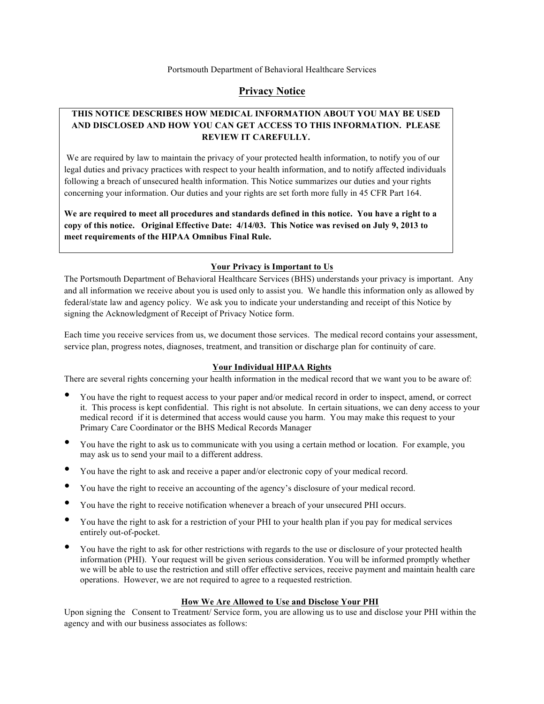## **Privacy Notice**

# **THIS NOTICE DESCRIBES HOW MEDICAL INFORMATION ABOUT YOU MAY BE USED AND DISCLOSED AND HOW YOU CAN GET ACCESS TO THIS INFORMATION. PLEASE REVIEW IT CAREFULLY.**

We are required by law to maintain the privacy of your protected health information, to notify you of our legal duties and privacy practices with respect to your health information, and to notify affected individuals following a breach of unsecured health information. This Notice summarizes our duties and your rights concerning your information. Our duties and your rights are set forth more fully in 45 CFR Part 164.

**We are required to meet all procedures and standards defined in this notice. You have a right to a copy of this notice. Original Effective Date: 4/14/03. This Notice was revised on July 9, 2013 to meet requirements of the HIPAA Omnibus Final Rule.**

### **Your Privacy is Important to Us**

The Portsmouth Department of Behavioral Healthcare Services (BHS) understands your privacy is important. Any and all information we receive about you is used only to assist you. We handle this information only as allowed by federal/state law and agency policy. We ask you to indicate your understanding and receipt of this Notice by signing the Acknowledgment of Receipt of Privacy Notice form.

Each time you receive services from us, we document those services. The medical record contains your assessment, service plan, progress notes, diagnoses, treatment, and transition or discharge plan for continuity of care.

## **Your Individual HIPAA Rights**

There are several rights concerning your health information in the medical record that we want you to be aware of:

- You have the right to request access to your paper and/or medical record in order to inspect, amend, or correct it. This process is kept confidential. This right is not absolute. In certain situations, we can deny access to your medical record if it is determined that access would cause you harm. You may make this request to your Primary Care Coordinator or the BHS Medical Records Manager
- You have the right to ask us to communicate with you using a certain method or location. For example, you may ask us to send your mail to a different address.
- You have the right to ask and receive a paper and/or electronic copy of your medical record.
- You have the right to receive an accounting of the agency's disclosure of your medical record.
- You have the right to receive notification whenever a breach of your unsecured PHI occurs.
- You have the right to ask for a restriction of your PHI to your health plan if you pay for medical services entirely out-of-pocket.
- You have the right to ask for other restrictions with regards to the use or disclosure of your protected health information (PHI). Your request will be given serious consideration. You will be informed promptly whether we will be able to use the restriction and still offer effective services, receive payment and maintain health care operations. However, we are not required to agree to a requested restriction.

#### **How We Are Allowed to Use and Disclose Your PHI**

Upon signing the Consent to Treatment/ Service form, you are allowing us to use and disclose your PHI within the agency and with our business associates as follows: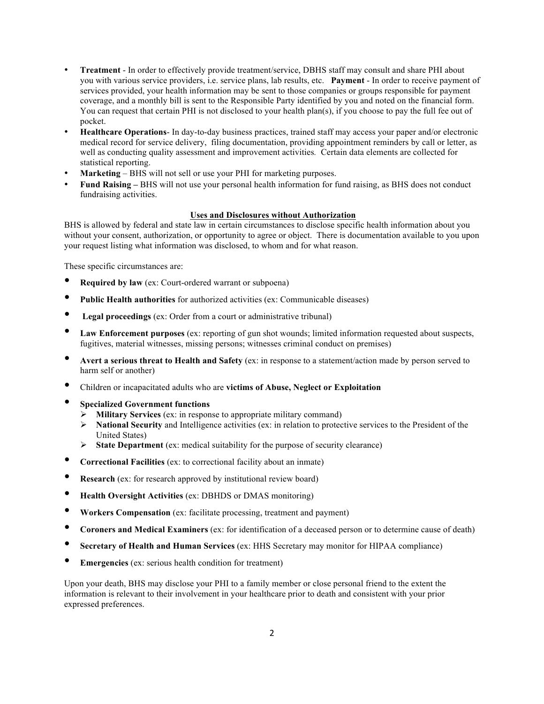- **Treatment** In order to effectively provide treatment/service, DBHS staff may consult and share PHI about you with various service providers, i.e. service plans, lab results, etc. **Payment** - In order to receive payment of services provided, your health information may be sent to those companies or groups responsible for payment coverage, and a monthly bill is sent to the Responsible Party identified by you and noted on the financial form. You can request that certain PHI is not disclosed to your health plan(s), if you choose to pay the full fee out of pocket.
- **Healthcare Operations** In day-to-day business practices, trained staff may access your paper and/or electronic medical record for service delivery, filing documentation, providing appointment reminders by call or letter, as well as conducting quality assessment and improvement activities*.* Certain data elements are collected for statistical reporting.
- **Marketing** BHS will not sell or use your PHI for marketing purposes.
- **Fund Raising –** BHS will not use your personal health information for fund raising, as BHS does not conduct fundraising activities.

#### **Uses and Disclosures without Authorization**

BHS is allowed by federal and state law in certain circumstances to disclose specific health information about you without your consent, authorization, or opportunity to agree or object. There is documentation available to you upon your request listing what information was disclosed, to whom and for what reason.

These specific circumstances are:

- **Required by law** (ex: Court-ordered warrant or subpoena)
- **Public Health authorities** for authorized activities (ex: Communicable diseases)
- **Legal proceedings** (ex: Order from a court or administrative tribunal)
- **Law Enforcement purposes** (ex: reporting of gun shot wounds; limited information requested about suspects, fugitives, material witnesses, missing persons; witnesses criminal conduct on premises)
- **Avert a serious threat to Health and Safety** (ex: in response to a statement/action made by person served to harm self or another)
- Children or incapacitated adults who are **victims of Abuse, Neglect or Exploitation**
- **Specialized Government functions**
	- Ø **Military Services** (ex: in response to appropriate military command)
	- Ø **National Security** and Intelligence activities (ex: in relation to protective services to the President of the United States)
	- Ø **State Department** (ex: medical suitability for the purpose of security clearance)
- **Correctional Facilities** (ex: to correctional facility about an inmate)
- **Research** (ex: for research approved by institutional review board)
- **Health Oversight Activities** (ex: DBHDS or DMAS monitoring)
- **Workers Compensation** (ex: facilitate processing, treatment and payment)
- **Coroners and Medical Examiners** (ex: for identification of a deceased person or to determine cause of death)
- **Secretary of Health and Human Services** (ex: HHS Secretary may monitor for HIPAA compliance)
- **Emergencies** (ex: serious health condition for treatment)

Upon your death, BHS may disclose your PHI to a family member or close personal friend to the extent the information is relevant to their involvement in your healthcare prior to death and consistent with your prior expressed preferences.